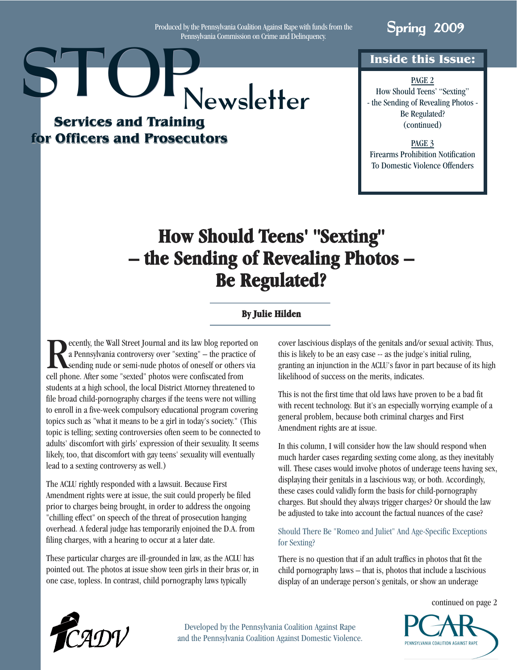Produced by the Pennsylvania Coalition Against Rape with funds from the Pennsylvania Commission on Crime and Delinquency.

Newsletter

## Spring 2009

### **Inside this Issue:**

PAGE 2 How Should Teens' "Sexting" - the Sending of Revealing Photos - Be Regulated? (continued)

PAGE 3 Firearms Prohibition Notification To Domestic Violence Offenders

# **How Should Teens' "Sexting" – the Sending of Revealing Photos – Be Regulated?**

### **By Julie Hilden**

**RECENSIGNATION** Street Journal and its law blog reporte a Pennsylvania controversy over "sexting" — the practic sending nude or semi-nude photos of oneself or others cell phone. After some "sexted" photos were confiscated ecently, the Wall Street Journal and its law blog reported on a Pennsylvania controversy over "sexting" – the practice of sending nude or semi-nude photos of oneself or others via students at a high school, the local District Attorney threatened to file broad child-pornography charges if the teens were not willing to enroll in a five-week compulsory educational program covering topics such as "what it means to be a girl in today's society." (This topic is telling; sexting controversies often seem to be connected to adults' discomfort with girls' expression of their sexuality. It seems likely, too, that discomfort with gay teens' sexuality will eventually lead to a sexting controversy as well.)

STOP

**Services and Training Services and Training**

**for Officers and Prosecutors for Officers and Prosecutors**

The ACLU rightly responded with a lawsuit. Because First Amendment rights were at issue, the suit could properly be filed prior to charges being brought, in order to address the ongoing "chilling effect" on speech of the threat of prosecution hanging overhead. A federal judge has temporarily enjoined the D.A. from filing charges, with a hearing to occur at a later date.

These particular charges are ill-grounded in law, as the ACLU has pointed out. The photos at issue show teen girls in their bras or, in one case, topless. In contrast, child pornography laws typically

cover lascivious displays of the genitals and/or sexual activity. Thus, this is likely to be an easy case -- as the judge's initial ruling, granting an injunction in the ACLU's favor in part because of its high likelihood of success on the merits, indicates.

This is not the first time that old laws have proven to be a bad fit with recent technology. But it's an especially worrying example of a general problem, because both criminal charges and First Amendment rights are at issue.

In this column, I will consider how the law should respond when much harder cases regarding sexting come along, as they inevitably will. These cases would involve photos of underage teens having sex, displaying their genitals in a lascivious way, or both. Accordingly, these cases could validly form the basis for child-pornography charges. But should they always trigger charges? Or should the law be adjusted to take into account the factual nuances of the case?

#### Should There Be "Romeo and Juliet" And Age-Specific Exceptions for Sexting?

There is no question that if an adult traffics in photos that fit the child pornography laws – that is, photos that include a lascivious display of an underage person's genitals, or show an underage

continued on page 2





Developed by the Pennsylvania Coalition Against Rape and the Pennsylvania Coalition Against Domestic Violence.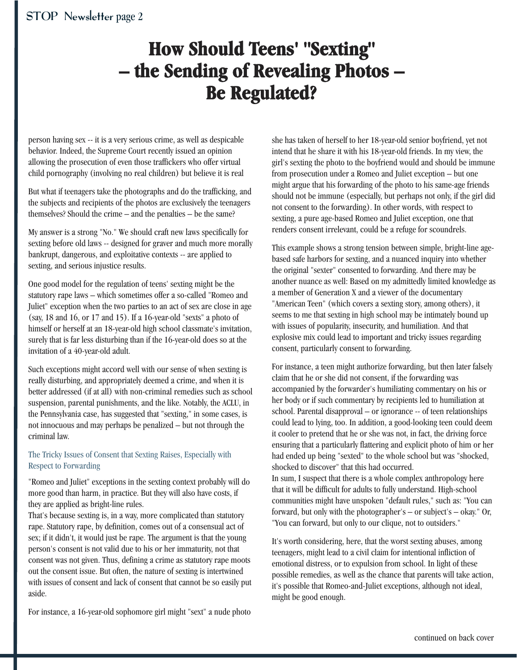## **How Should Teens' "Sexting" – the Sending of Revealing Photos – Be Regulated?**

person having sex -- it is a very serious crime, as well as despicable behavior. Indeed, the Supreme Court recently issued an opinion allowing the prosecution of even those traffickers who offer virtual child pornography (involving no real children) but believe it is real

But what if teenagers take the photographs and do the trafficking, and the subjects and recipients of the photos are exclusively the teenagers themselves? Should the crime – and the penalties – be the same?

My answer is a strong "No." We should craft new laws specifically for sexting before old laws -- designed for graver and much more morally bankrupt, dangerous, and exploitative contexts -- are applied to sexting, and serious injustice results.

One good model for the regulation of teens' sexting might be the statutory rape laws – which sometimes offer a so-called "Romeo and Juliet" exception when the two parties to an act of sex are close in age (say, 18 and 16, or 17 and 15). If a 16-year-old "sexts" a photo of himself or herself at an 18-year-old high school classmate's invitation, surely that is far less disturbing than if the 16-year-old does so at the invitation of a 40-year-old adult.

Such exceptions might accord well with our sense of when sexting is really disturbing, and appropriately deemed a crime, and when it is better addressed (if at all) with non-criminal remedies such as school suspension, parental punishments, and the like. Notably, the ACLU, in the Pennsylvania case, has suggested that "sexting," in some cases, is not innocuous and may perhaps be penalized – but not through the criminal law.

#### The Tricky Issues of Consent that Sexting Raises, Especially with Respect to Forwarding

"Romeo and Juliet" exceptions in the sexting context probably will do more good than harm, in practice. But they will also have costs, if they are applied as bright-line rules.

That's because sexting is, in a way, more complicated than statutory rape. Statutory rape, by definition, comes out of a consensual act of sex; if it didn't, it would just be rape. The argument is that the young person's consent is not valid due to his or her immaturity, not that consent was not given. Thus, defining a crime as statutory rape moots out the consent issue. But often, the nature of sexting is intertwined with issues of consent and lack of consent that cannot be so easily put aside.

For instance, a 16-year-old sophomore girl might "sext" a nude photo

she has taken of herself to her 18-year-old senior boyfriend, yet not intend that he share it with his 18-year-old friends. In my view, the girl's sexting the photo to the boyfriend would and should be immune from prosecution under a Romeo and Juliet exception – but one might argue that his forwarding of the photo to his same-age friends should not be immune (especially, but perhaps not only, if the girl did not consent to the forwarding). In other words, with respect to sexting, a pure age-based Romeo and Juliet exception, one that renders consent irrelevant, could be a refuge for scoundrels.

This example shows a strong tension between simple, bright-line agebased safe harbors for sexting, and a nuanced inquiry into whether the original "sexter" consented to forwarding. And there may be another nuance as well: Based on my admittedly limited knowledge as a member of Generation X and a viewer of the documentary "American Teen" (which covers a sexting story, among others), it seems to me that sexting in high school may be intimately bound up with issues of popularity, insecurity, and humiliation. And that explosive mix could lead to important and tricky issues regarding consent, particularly consent to forwarding.

For instance, a teen might authorize forwarding, but then later falsely claim that he or she did not consent, if the forwarding was accompanied by the forwarder's humiliating commentary on his or her body or if such commentary by recipients led to humiliation at school. Parental disapproval – or ignorance -- of teen relationships could lead to lying, too. In addition, a good-looking teen could deem it cooler to pretend that he or she was not, in fact, the driving force ensuring that a particularly flattering and explicit photo of him or her had ended up being "sexted" to the whole school but was "shocked, shocked to discover" that this had occurred.

In sum, I suspect that there is a whole complex anthropology here that it will be difficult for adults to fully understand. High-school communities might have unspoken "default rules," such as: "You can forward, but only with the photographer's – or subject's – okay." Or, "You can forward, but only to our clique, not to outsiders."

It's worth considering, here, that the worst sexting abuses, among teenagers, might lead to a civil claim for intentional infliction of emotional distress, or to expulsion from school. In light of these possible remedies, as well as the chance that parents will take action, it's possible that Romeo-and-Juliet exceptions, although not ideal, might be good enough.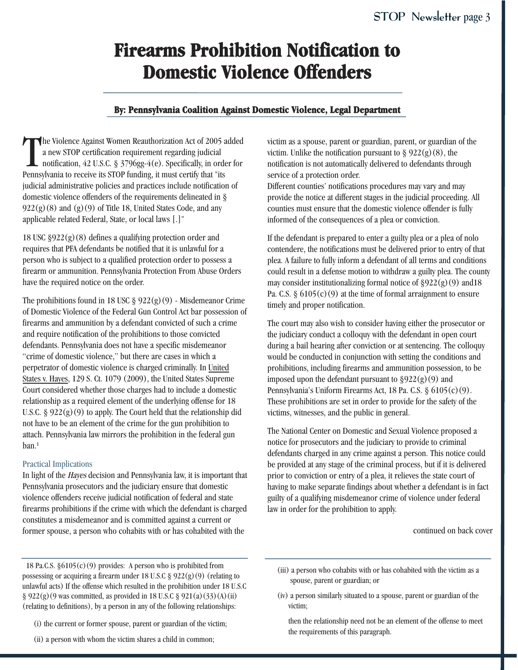## **Firearms Prohibition Notification to Domestic Violence Offenders**

#### **By: Pennsylvania Coalition Against Domestic Violence, Legal Department**

The Violence Against Women Reauthorization Act of 2005 added<br>
a new STOP certification requirement regarding judicial<br>
notification, 42 U.S.C. § 3796gg-4(e). Specifically, in order for<br>
Pennsylvania to receive its STOP fun a new STOP certification requirement regarding judicial notification, 42 U.S.C. § 3796gg-4(e). Specifically, in order for Pennsylvania to receive its STOP funding, it must certify that "its judicial administrative policies and practices include notification of domestic violence offenders of the requirements delineated in §  $922(g)(8)$  and  $(g)(9)$  of Title 18, United States Code, and any applicable related Federal, State, or local laws [.]"

18 USC §922(g)(8) defines a qualifying protection order and requires that PFA defendants be notified that it is unlawful for a person who is subject to a qualified protection order to possess a firearm or ammunition. Pennsylvania Protection From Abuse Orders have the required notice on the order.

The prohibitions found in 18 USC  $\S 922(g)(9)$  - Misdemeanor Crime of Domestic Violence of the Federal Gun Control Act bar possession of firearms and ammunition by a defendant convicted of such a crime and require notification of the prohibitions to those convicted defendants. Pennsylvania does not have a specific misdemeanor "crime of domestic violence," but there are cases in which a perpetrator of domestic violence is charged criminally. In United States v. Hayes, 129 S. Ct. 1079 (2009), the United States Supreme Court considered whether those charges had to include a domestic relationship as a required element of the underlying offense for 18 U.S.C.  $\S 922(g)(9)$  to apply. The Court held that the relationship did not have to be an element of the crime for the gun prohibition to attach. Pennsylvania law mirrors the prohibition in the federal gun ban.1

#### Practical Implications

In light of the Hayes decision and Pennsylvania law, it is important that Pennsylvania prosecutors and the judiciary ensure that domestic violence offenders receive judicial notification of federal and state firearms prohibitions if the crime with which the defendant is charged constitutes a misdemeanor and is committed against a current or former spouse, a person who cohabits with or has cohabited with the

victim as a spouse, parent or guardian, parent, or guardian of the victim. Unlike the notification pursuant to  $\S 922(g)(8)$ , the notification is not automatically delivered to defendants through service of a protection order.

Different counties' notifications procedures may vary and may provide the notice at different stages in the judicial proceeding. All counties must ensure that the domestic violence offender is fully informed of the consequences of a plea or conviction.

If the defendant is prepared to enter a guilty plea or a plea of nolo contendere, the notifications must be delivered prior to entry of that plea. A failure to fully inform a defendant of all terms and conditions could result in a defense motion to withdraw a guilty plea. The county may consider institutionalizing formal notice of  $\S 922(g)(9)$  and 18 Pa. C.S.  $\S 6105(c)(9)$  at the time of formal arraignment to ensure timely and proper notification.

The court may also wish to consider having either the prosecutor or the judiciary conduct a colloquy with the defendant in open court during a bail hearing after conviction or at sentencing. The colloquy would be conducted in conjunction with setting the conditions and prohibitions, including firearms and ammunition possession, to be imposed upon the defendant pursuant to  $\S922(g)(9)$  and Pennsylvania's Uniform Firearms Act, 18 Pa. C.S. § 6105(c)(9). These prohibitions are set in order to provide for the safety of the victims, witnesses, and the public in general.

The National Center on Domestic and Sexual Violence proposed a notice for prosecutors and the judiciary to provide to criminal defendants charged in any crime against a person. This notice could be provided at any stage of the criminal process, but if it is delivered prior to conviction or entry of a plea, it relieves the state court of having to make separate findings about whether a defendant is in fact guilty of a qualifying misdemeanor crime of violence under federal law in order for the prohibition to apply.

continued on back cover

18 Pa.C.S. §6105(c)(9) provides: A person who is prohibited from possessing or acquiring a firearm under 18 U.S.C  $\S$  922(g)(9) (relating to unlawful acts) If the offense which resulted in the prohibition under 18 U.S.C  $\S 922(g)(9$  was committed, as provided in 18 U.S.C  $\S 921(a)(33)(A)(ii)$ (relating to definitions), by a person in any of the following relationships:

(i) the current or former spouse, parent or guardian of the victim;

(ii) a person with whom the victim shares a child in common;

- (iii) a person who cohabits with or has cohabited with the victim as a spouse, parent or guardian; or
- (iv) a person similarly situated to a spouse, parent or guardian of the victim;

then the relationship need not be an element of the offense to meet the requirements of this paragraph.